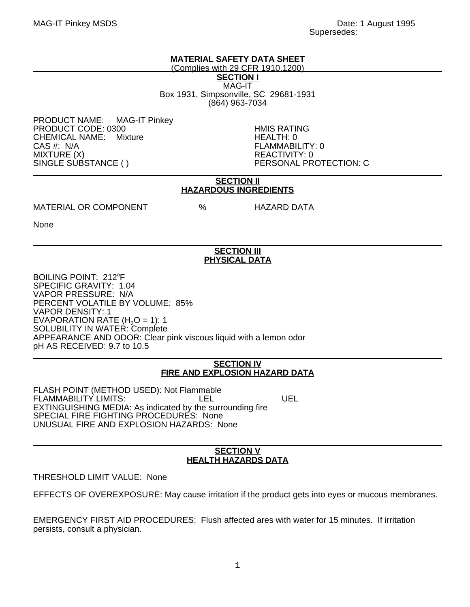MAG-IT Pinkey MSDS Date: 1 August 1995 Supersedes:

# **MATERIAL SAFETY DATA SHEET**

(Complies with 29 CFR 1910.1200)

**SECTION I** MAG-IT Box 1931, Simpsonville, SC 29681-1931 (864) 963-7034

PRODUCT NAME: MAG-IT Pinkey PRODUCT CODE: 0300 FRODUCT CODE: 0300<br>CHEMICAL NAME: Mixture FROM THEALTH: 0 CHEMICAL NAME: Mixture CAS #: N/A FLAMMABILITY: 0 MIXTURE (X) REACTIVITY: 0

PERSONAL PROTECTION: C

## **SECTION II HAZARDOUS INGREDIENTS**

MATERIAL OR COMPONENT % HAZARD DATA

None

# **SECTION III PHYSICAL DATA**

BOILING POINT: 212°F SPECIFIC GRAVITY: 1.04 VAPOR PRESSURE: N/A PERCENT VOLATILE BY VOLUME: 85% VAPOR DENSITY: 1 EVAPORATION RATE  $(H<sub>2</sub>O = 1)$ : 1 SOLUBILITY IN WATER: Complete APPEARANCE AND ODOR: Clear pink viscous liquid with a lemon odor pH AS RECEIVED: 9.7 to 10.5

## **SECTION IV FIRE AND EXPLOSION HAZARD DATA**

FLASH POINT (METHOD USED): Not Flammable FLAMMABILITY LIMITS: LEL UEL EXTINGUISHING MEDIA: As indicated by the surrounding fire SPECIAL FIRE FIGHTING PROCEDURES: None UNUSUAL FIRE AND EXPLOSION HAZARDS: None

## **SECTION V HEALTH HAZARDS DATA**

THRESHOLD LIMIT VALUE: None

EFFECTS OF OVEREXPOSURE: May cause irritation if the product gets into eyes or mucous membranes.

EMERGENCY FIRST AID PROCEDURES: Flush affected ares with water for 15 minutes. If irritation persists, consult a physician.